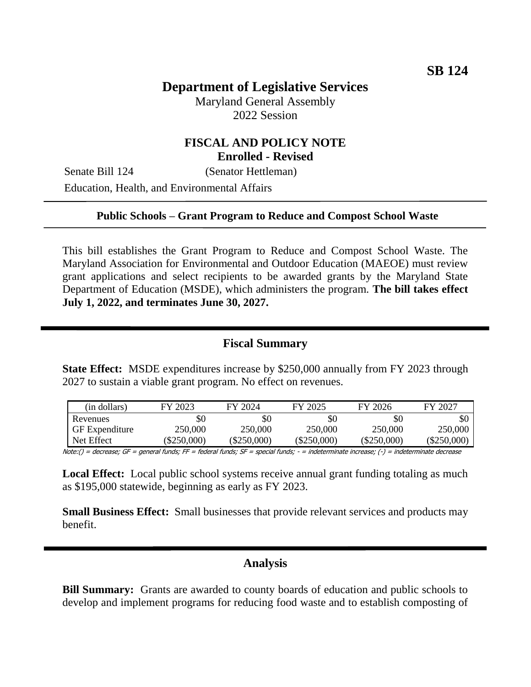# **Department of Legislative Services**

Maryland General Assembly 2022 Session

## **FISCAL AND POLICY NOTE Enrolled - Revised**

Senate Bill 124 (Senator Hettleman) Education, Health, and Environmental Affairs

### **Public Schools – Grant Program to Reduce and Compost School Waste**

This bill establishes the Grant Program to Reduce and Compost School Waste. The Maryland Association for Environmental and Outdoor Education (MAEOE) must review grant applications and select recipients to be awarded grants by the Maryland State Department of Education (MSDE), which administers the program. **The bill takes effect July 1, 2022, and terminates June 30, 2027.**

### **Fiscal Summary**

**State Effect:** MSDE expenditures increase by \$250,000 annually from FY 2023 through 2027 to sustain a viable grant program. No effect on revenues.

| (in dollars)          | FY 2023       | FY 2024       | FY 2025       | FY 2026       | FY 2027      |
|-----------------------|---------------|---------------|---------------|---------------|--------------|
| Revenues              | \$0           | \$0           | \$0           | \$0           | \$0          |
| <b>GF</b> Expenditure | 250,000       | 250,000       | 250,000       | 250,000       | 250,000      |
| Net Effect            | $(\$250,000)$ | $(\$250,000)$ | $(\$250,000)$ | $(\$250,000)$ | $(\$250,000$ |

Note:() = decrease; GF = general funds; FF = federal funds; SF = special funds; - = indeterminate increase; (-) = indeterminate decrease

**Local Effect:** Local public school systems receive annual grant funding totaling as much as \$195,000 statewide, beginning as early as FY 2023.

**Small Business Effect:** Small businesses that provide relevant services and products may benefit.

#### **Analysis**

**Bill Summary:** Grants are awarded to county boards of education and public schools to develop and implement programs for reducing food waste and to establish composting of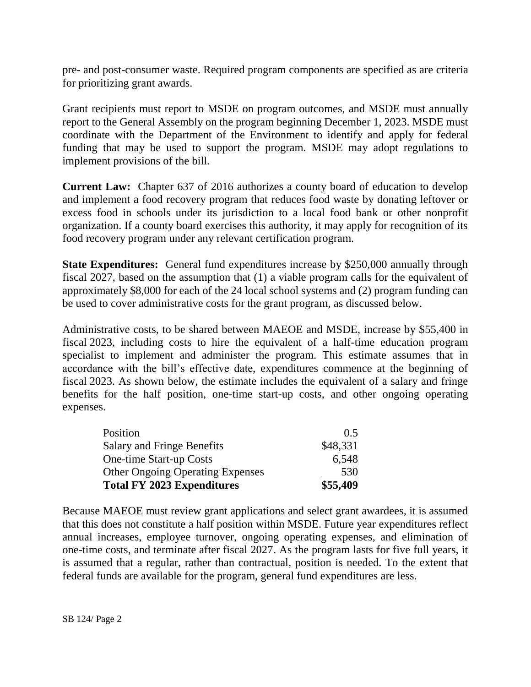pre- and post-consumer waste. Required program components are specified as are criteria for prioritizing grant awards.

Grant recipients must report to MSDE on program outcomes, and MSDE must annually report to the General Assembly on the program beginning December 1, 2023. MSDE must coordinate with the Department of the Environment to identify and apply for federal funding that may be used to support the program. MSDE may adopt regulations to implement provisions of the bill.

**Current Law:** Chapter 637 of 2016 authorizes a county board of education to develop and implement a food recovery program that reduces food waste by donating leftover or excess food in schools under its jurisdiction to a local food bank or other nonprofit organization. If a county board exercises this authority, it may apply for recognition of its food recovery program under any relevant certification program.

**State Expenditures:** General fund expenditures increase by \$250,000 annually through fiscal 2027, based on the assumption that (1) a viable program calls for the equivalent of approximately \$8,000 for each of the 24 local school systems and (2) program funding can be used to cover administrative costs for the grant program, as discussed below.

Administrative costs, to be shared between MAEOE and MSDE, increase by \$55,400 in fiscal 2023, including costs to hire the equivalent of a half-time education program specialist to implement and administer the program. This estimate assumes that in accordance with the bill's effective date, expenditures commence at the beginning of fiscal 2023. As shown below, the estimate includes the equivalent of a salary and fringe benefits for the half position, one-time start-up costs, and other ongoing operating expenses.

| <b>Total FY 2023 Expenditures</b>       | \$55,409 |
|-----------------------------------------|----------|
| <b>Other Ongoing Operating Expenses</b> | 530      |
| <b>One-time Start-up Costs</b>          | 6,548    |
| <b>Salary and Fringe Benefits</b>       | \$48,331 |
| Position                                | 0.5      |

Because MAEOE must review grant applications and select grant awardees, it is assumed that this does not constitute a half position within MSDE. Future year expenditures reflect annual increases, employee turnover, ongoing operating expenses, and elimination of one-time costs, and terminate after fiscal 2027. As the program lasts for five full years, it is assumed that a regular, rather than contractual, position is needed. To the extent that federal funds are available for the program, general fund expenditures are less.